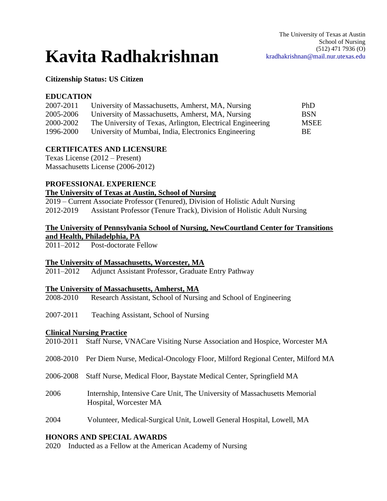# **Kavita Radhakrishnan**

## **Citizenship Status: US Citizen**

## **EDUCATION**

| University of Massachusetts, Amherst, MA, Nursing          | PhD.        |
|------------------------------------------------------------|-------------|
| University of Massachusetts, Amherst, MA, Nursing          | <b>BSN</b>  |
| The University of Texas, Arlington, Electrical Engineering | <b>MSEE</b> |
| University of Mumbai, India, Electronics Engineering       | BE.         |
|                                                            |             |

# **CERTIFICATES AND LICENSURE**

Texas License (2012 – Present) Massachusetts License (2006-2012)

## **PROFESSIONAL EXPERIENCE**

## **The University of Texas at Austin, School of Nursing**

2019 – Current Associate Professor (Tenured), Division of Holistic Adult Nursing 2012-2019 Assistant Professor (Tenure Track), Division of Holistic Adult Nursing

# **The University of Pennsylvania School of Nursing, NewCourtland Center for Transitions and Health, Philadelphia, PA**

2011–2012 Post-doctorate Fellow

## **The University of Massachusetts, Worcester, MA**

2011–2012 Adjunct Assistant Professor, Graduate Entry Pathway

## **The University of Massachusetts, Amherst, MA**

- 2008-2010 Research Assistant, School of Nursing and School of Engineering
- 2007-2011 Teaching Assistant, School of Nursing

## **Clinical Nursing Practice**

|  |  |  |  | 2010-2011 Staff Nurse, VNACare Visiting Nurse Association and Hospice, Worcester MA |  |  |
|--|--|--|--|-------------------------------------------------------------------------------------|--|--|
|--|--|--|--|-------------------------------------------------------------------------------------|--|--|

- 2008-2010 Per Diem Nurse, Medical-Oncology Floor, Milford Regional Center, Milford MA
- 2006-2008 Staff Nurse, Medical Floor, Baystate Medical Center, Springfield MA
- 2006 Internship, Intensive Care Unit, The University of Massachusetts Memorial Hospital, Worcester MA
- 2004 Volunteer, Medical-Surgical Unit, Lowell General Hospital, Lowell, MA

## **HONORS AND SPECIAL AWARDS**

2020 Inducted as a Fellow at the American Academy of Nursing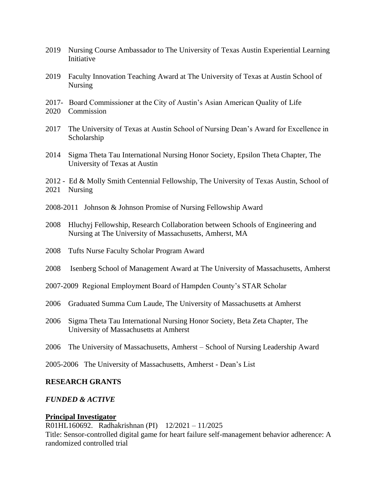- 2019 Nursing Course Ambassador to The University of Texas Austin Experiential Learning **Initiative**
- 2019 Faculty Innovation Teaching Award at The University of Texas at Austin School of Nursing
- 2017- Board Commissioner at the City of Austin's Asian American Quality of Life
- 2020 Commission
- 2017 The University of Texas at Austin School of Nursing Dean's Award for Excellence in Scholarship
- 2014 Sigma Theta Tau International Nursing Honor Society, Epsilon Theta Chapter, The University of Texas at Austin
- 2012 Ed & Molly Smith Centennial Fellowship, The University of Texas Austin, School of 2021 Nursing
- 2008-2011 Johnson & Johnson Promise of Nursing Fellowship Award
- 2008 Hluchyj Fellowship, Research Collaboration between Schools of Engineering and Nursing at The University of Massachusetts, Amherst, MA
- 2008 Tufts Nurse Faculty Scholar Program Award
- 2008 Isenberg School of Management Award at The University of Massachusetts, Amherst
- 2007-2009 Regional Employment Board of Hampden County's STAR Scholar
- 2006 Graduated Summa Cum Laude, The University of Massachusetts at Amherst
- 2006 Sigma Theta Tau International Nursing Honor Society, Beta Zeta Chapter, The University of Massachusetts at Amherst
- 2006 The University of Massachusetts, Amherst School of Nursing Leadership Award
- 2005-2006 The University of Massachusetts, Amherst Dean's List

## **RESEARCH GRANTS**

## *FUNDED & ACTIVE*

## **Principal Investigator**

R01HL160692. Radhakrishnan (PI) 12/2021 – 11/2025 Title: Sensor-controlled digital game for heart failure self-management behavior adherence: A randomized controlled trial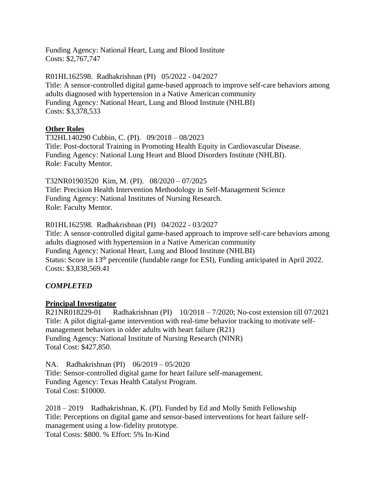Funding Agency: National Heart, Lung and Blood Institute Costs: \$2,767,747

R01HL162598. Radhakrishnan (PI) 05/2022 - 04/2027 Title: A sensor-controlled digital game-based approach to improve self-care behaviors among adults diagnosed with hypertension in a Native American community Funding Agency: National Heart, Lung and Blood Institute (NHLBI) Costs: \$3,378,533

## **Other Roles**

T32HL140290 Cubbin, C. (PI). 09/2018 – 08/2023 Title: Post-doctoral Training in Promoting Health Equity in Cardiovascular Disease. Funding Agency: National Lung Heart and Blood Disorders Institute (NHLBI). Role: Faculty Mentor.

T32NR01903520 Kim, M. (PI). 08/2020 – 07/2025 Title: Precision Health Intervention Methodology in Self-Management Science Funding Agency: National Institutes of Nursing Research. Role: Faculty Mentor.

R01HL162598. Radhakrishnan (PI) 04/2022 - 03/2027

Title: A sensor-controlled digital game-based approach to improve self-care behaviors among adults diagnosed with hypertension in a Native American community Funding Agency: National Heart, Lung and Blood Institute (NHLBI) Status: Score in 13<sup>th</sup> percentile (fundable range for ESI), Funding anticipated in April 2022. Costs: \$3,838,569.41

# *COMPLETED*

# **Principal Investigator**

R21NR018229-01 Radhakrishnan (PI) 10/2018 – 7/2020; No-cost extension till 07/2021 Title: A pilot digital-game intervention with real-time behavior tracking to motivate selfmanagement behaviors in older adults with heart failure (R21) Funding Agency: National Institute of Nursing Research (NINR) Total Cost: \$427,850.

NA. Radhakrishnan (PI) 06/2019 – 05/2020 Title: Sensor-controlled digital game for heart failure self-management. Funding Agency: Texas Health Catalyst Program. Total Cost: \$10000.

2018 – 2019 Radhakrishnan, K. (PI). Funded by Ed and Molly Smith Fellowship Title: Perceptions on digital game and sensor-based interventions for heart failure selfmanagement using a low-fidelity prototype. Total Costs: \$800. % Effort: 5% In-Kind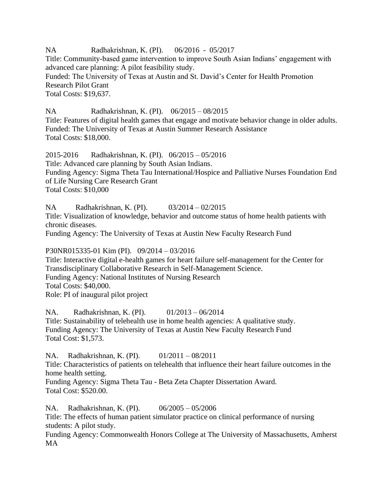NA Radhakrishnan, K. (PI). 06/2016 - 05/2017 Title: Community-based game intervention to improve South Asian Indians' engagement with advanced care planning: A pilot feasibility study. Funded: The University of Texas at Austin and St. David's Center for Health Promotion Research Pilot Grant Total Costs: \$19,637.

NA Radhakrishnan, K. (PI). 06/2015 – 08/2015 Title: Features of digital health games that engage and motivate behavior change in older adults. Funded: The University of Texas at Austin Summer Research Assistance Total Costs: \$18,000.

2015-2016 Radhakrishnan, K. (PI). 06/2015 – 05/2016 Title: Advanced care planning by South Asian Indians. Funding Agency: Sigma Theta Tau International/Hospice and Palliative Nurses Foundation End of Life Nursing Care Research Grant Total Costs: \$10,000

NA Radhakrishnan, K. (PI). 03/2014 – 02/2015 Title: Visualization of knowledge, behavior and outcome status of home health patients with chronic diseases.

Funding Agency: The University of Texas at Austin New Faculty Research Fund

P30NR015335-01 Kim (PI). 09/2014 – 03/2016

Title: Interactive digital e-health games for heart failure self-management for the Center for Transdisciplinary Collaborative Research in Self-Management Science. Funding Agency: National Institutes of Nursing Research Total Costs: \$40,000. Role: PI of inaugural pilot project

NA. Radhakrishnan, K. (PI). 01/2013 – 06/2014 Title: Sustainability of telehealth use in home health agencies: A qualitative study. Funding Agency: The University of Texas at Austin New Faculty Research Fund Total Cost: \$1,573.

NA. Radhakrishnan, K. (PI). 01/2011 – 08/2011 Title: Characteristics of patients on telehealth that influence their heart failure outcomes in the home health setting. Funding Agency: Sigma Theta Tau - Beta Zeta Chapter Dissertation Award. Total Cost: \$520.00.

NA. Radhakrishnan, K. (PI). 06/2005 – 05/2006 Title: The effects of human patient simulator practice on clinical performance of nursing students: A pilot study. Funding Agency: Commonwealth Honors College at The University of Massachusetts, Amherst MA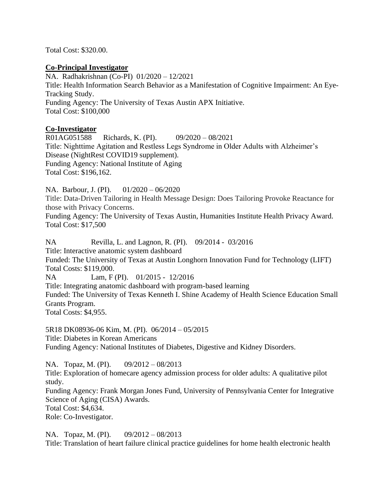Total Cost: \$320.00.

## **Co-Principal Investigator**

NA. Radhakrishnan (Co-PI) 01/2020 – 12/2021 Title: Health Information Search Behavior as a Manifestation of Cognitive Impairment: An Eye-Tracking Study. Funding Agency: The University of Texas Austin APX Initiative. Total Cost: \$100,000

# **Co-Investigator**

R01AG051588 Richards, K. (PI). 09/2020 – 08/2021 Title: Nighttime Agitation and Restless Legs Syndrome in Older Adults with Alzheimer's Disease (NightRest COVID19 supplement). Funding Agency: National Institute of Aging Total Cost: \$196,162.

NA. Barbour, J. (PI). 01/2020 – 06/2020

Title: Data-Driven Tailoring in Health Message Design: Does Tailoring Provoke Reactance for those with Privacy Concerns.

Funding Agency: The University of Texas Austin, Humanities Institute Health Privacy Award. Total Cost: \$17,500

NA Revilla, L. and Lagnon, R. (PI). 09/2014 - 03/2016 Title: Interactive anatomic system dashboard Funded: The University of Texas at Austin Longhorn Innovation Fund for Technology (LIFT) Total Costs: \$119,000. NA Lam, F (PI). 01/2015 - 12/2016 Title: Integrating anatomic dashboard with program-based learning Funded: The University of Texas Kenneth I. Shine Academy of Health Science Education Small Grants Program. Total Costs: \$4,955.

5R18 DK08936-06 Kim, M. (PI). 06/2014 – 05/2015 Title: Diabetes in Korean Americans Funding Agency: National Institutes of Diabetes, Digestive and Kidney Disorders.

NA. Topaz, M. (PI). 09/2012 – 08/2013 Title: Exploration of homecare agency admission process for older adults: A qualitative pilot study. Funding Agency: Frank Morgan Jones Fund, University of Pennsylvania Center for Integrative Science of Aging (CISA) Awards. Total Cost: \$4,634.

Role: Co-Investigator.

NA. Topaz, M. (PI). 09/2012 – 08/2013 Title: Translation of heart failure clinical practice guidelines for home health electronic health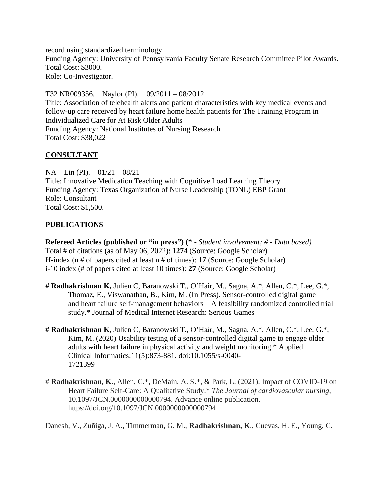record using standardized terminology. Funding Agency: University of Pennsylvania Faculty Senate Research Committee Pilot Awards. Total Cost: \$3000. Role: Co-Investigator.

T32 NR009356. Naylor (PI). 09/2011 – 08/2012 Title: Association of telehealth alerts and patient characteristics with key medical events and follow-up care received by heart failure home health patients for The Training Program in Individualized Care for At Risk Older Adults Funding Agency: National Institutes of Nursing Research Total Cost: \$38,022

## **CONSULTANT**

NA Lin (PI). 01/21 – 08/21 Title: Innovative Medication Teaching with Cognitive Load Learning Theory Funding Agency: Texas Organization of Nurse Leadership (TONL) EBP Grant Role: Consultant Total Cost: \$1,500.

## **PUBLICATIONS**

**Refereed Articles (published or "in press") (\* -** *Student involvement; # - Data based)*  Total # of citations (as of May 06, 2022): **1274** (Source: Google Scholar) H-index (n # of papers cited at least n # of times): **17** (Source: Google Scholar) i-10 index (# of papers cited at least 10 times): **27** (Source: Google Scholar)

- **# Radhakrishnan K,** Julien C, Baranowski T., O'Hair, M., Sagna, A.\*, Allen, C.\*, Lee, G.\*, Thomaz, E., Viswanathan, B., Kim, M. (In Press). Sensor-controlled digital game and heart failure self-management behaviors – A feasibility randomized controlled trial study.\* Journal of Medical Internet Research: Serious Games
- **# Radhakrishnan K**, Julien C, Baranowski T., O'Hair, M., Sagna, A.\*, Allen, C.\*, Lee, G.\*, Kim, M. (2020) Usability testing of a sensor-controlled digital game to engage older adults with heart failure in physical activity and weight monitoring.\* Applied Clinical Informatics;11(5):873-881. doi:10.1055/s-0040- 1721399
- # **Radhakrishnan, K**., Allen, C.\*, DeMain, A. S.\*, & Park, L. (2021). Impact of COVID-19 on Heart Failure Self-Care: A Qualitative Study.\* *The Journal of cardiovascular nursing*, 10.1097/JCN.0000000000000794. Advance online publication. https://doi.org/10.1097/JCN.0000000000000794

Danesh, V., Zuñiga, J. A., Timmerman, G. M., **Radhakrishnan, K**., Cuevas, H. E., Young, C.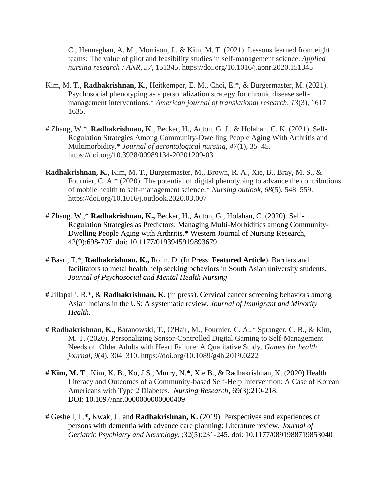C., Henneghan, A. M., Morrison, J., & Kim, M. T. (2021). Lessons learned from eight teams: The value of pilot and feasibility studies in self-management science. *Applied nursing research : ANR*, *57*, 151345. https://doi.org/10.1016/j.apnr.2020.151345

- Kim, M. T., **Radhakrishnan, K**., Heitkemper, E. M., Choi, E.\*, & Burgermaster, M. (2021). Psychosocial phenotyping as a personalization strategy for chronic disease selfmanagement interventions.\* *American journal of translational research*, *13*(3), 1617– 1635.
- # Zhang, W.\*, **Radhakrishnan, K**., Becker, H., Acton, G. J., & Holahan, C. K. (2021). Self-Regulation Strategies Among Community-Dwelling People Aging With Arthritis and Multimorbidity.\* *Journal of gerontological nursing*, *47*(1), 35–45. https://doi.org/10.3928/00989134-20201209-03
- **Radhakrishnan, K**., Kim, M. T., Burgermaster, M., Brown, R. A., Xie, B., Bray, M. S., & Fournier, C. A.\* (2020). The potential of digital phenotyping to advance the contributions of mobile health to self-management science.\* *Nursing outlook*, *68*(5), 548–559. https://doi.org/10.1016/j.outlook.2020.03.007
- # Zhang. W.,\* **Radhakrishnan, K.,** Becker, H., Acton, G., Holahan, C. (2020). Self-Regulation Strategies as Predictors: Managing Multi-Morbidities among Community-Dwelling People Aging with Arthritis.\* Western Journal of Nursing Research, 42(9):698-707. doi: 10.1177/0193945919893679
- # Basri, T.\*, **Radhakrishnan, K.,** Rolin, D. (In Press: **Featured Article**). Barriers and facilitators to metal health help seeking behaviors in South Asian university students. *Journal of Psychosocial and Mental Health Nursing*
- **#** Jillapalli, R.\*, & **Radhakrishnan, K**. (in press). Cervical cancer screening behaviors among Asian Indians in the US: A systematic review. *Journal of Immigrant and Minority Health*.
- **# Radhakrishnan, K.,** Baranowski, T., O'Hair, M., Fournier, C. A.,\* Spranger, C. B., & Kim, M. T. (2020). Personalizing Sensor-Controlled Digital Gaming to Self-Management Needs of Older Adults with Heart Failure: A Qualitative Study. *Games for health journal*, *9*(4), 304–310. https://doi.org/10.1089/g4h.2019.0222
- **# Kim, M. T**., Kim, K. B., Ko, J.S., Murry, N.**\***, Xie B., & Radhakrishnan, K. (2020) Health Literacy and Outcomes of a Community-based Self-Help Intervention: A Case of Korean Americans with Type 2 Diabetes. *Nursing Research,* 69(3):210-218. DOI: [10.1097/nnr.0000000000000409](https://doi.org/10.1097/nnr.0000000000000409)
- # Geshell, L.**\*,** Kwak, J., and **Radhakrishnan, K.** (2019). Perspectives and experiences of persons with dementia with advance care planning: Literature review. *Journal of Geriatric Psychiatry and Neurology,* ;32(5):231-245. doi: 10.1177/0891988719853040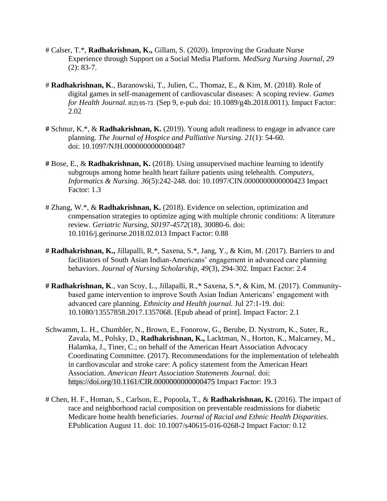- # Calser, T.\*, **Radhakrishnan, K.,** Gillam, S. (2020). Improving the Graduate Nurse Experience through Support on a Social Media Platform. *MedSurg Nursing Journal, 29*  (2): 83-7.
- # **Radhakrishnan, K**., Baranowski, T., Julien, C., Thomaz, E., & Kim, M. (2018). Role of digital games in self-management of cardiovascular diseases: A scoping review. *Games for Health Journal*. 8(2):65-73. (Sep 9, e-pub doi: 10.1089/g4h.2018.0011). Impact Factor: 2.02
- **#** Schnur, K.\*, & **Radhakrishnan, K.** (2019). Young adult readiness to engage in advance care planning. *The Journal of Hospice and Palliative Nursing. 21*(1): 54-60. doi: 10.1097/NJH.0000000000000487
- **#** Bose, E., & **Radhakrishnan, K.** (2018). Using unsupervised machine learning to identify subgroups among home health heart failure patients using telehealth. *Computers, Informatics & Nursing. 36*(5):242-248. doi: 10.1097/CIN.0000000000000423 Impact Factor: 1.3
- # Zhang, W.\*, & **Radhakrishnan, K.** (2018). Evidence on selection, optimization and compensation strategies to optimize aging with multiple chronic conditions: A literature review. *Geriatric Nursing, S0197-4572*(18), 30080-6. doi: 10.1016/j.gerinurse.2018.02.013 Impact Factor: 0.88
- **# Radhakrishnan, K.,** Jillapalli, R.\*, Saxena, S.\*, Jang, Y., & Kim, M. (2017). Barriers to and facilitators of South Asian Indian-Americans' engagement in advanced care planning behaviors. *Journal of Nursing Scholarship, 49*(3), 294-302. Impact Factor: 2.4
- **# Radhakrishnan, K**., van Scoy, L., Jillapalli, R.,\* Saxena, S.\*, & Kim, M. (2017). Communitybased game intervention to improve South Asian Indian Americans' engagement with advanced care planning. *Ethnicity and Health journal.* Jul 27:1-19. doi: 10.1080/13557858.2017.1357068. [Epub ahead of print]*.* Impact Factor: 2.1
- Schwamm, L. H., Chumbler, N., Brown, E., Fonorow, G., Berube, D. Nystrom, K., Suter, R., Zavala, M., Polsky, D., **Radhakrishnan, K.,** Lacktman, N., Horton, K., Malcarney, M., Halamka, J., Tiner, C.; on behalf of the American Heart Association Advocacy Coordinating Committee. (2017). Recommendations for the implementation of telehealth in cardiovascular and stroke care: A policy statement from the American Heart Association. *American Heart Association Statements Journal.* doi: <https://doi.org/10.1161/CIR.0000000000000475> Impact Factor: 19.3
- # Chen, H. F., Homan, S., Carlson, E., Popoola, T., & **Radhakrishnan, K.** (2016). The impact of race and neighborhood racial composition on preventable readmissions for diabetic Medicare home health beneficiaries. *Journal of Racial and Ethnic Health Disparities.*  EPublication August 11. doi: [10.1007/s40615-016-0268-2](http://dx.doi.org/10.1007/s40615-016-0268-2) Impact Factor: 0.12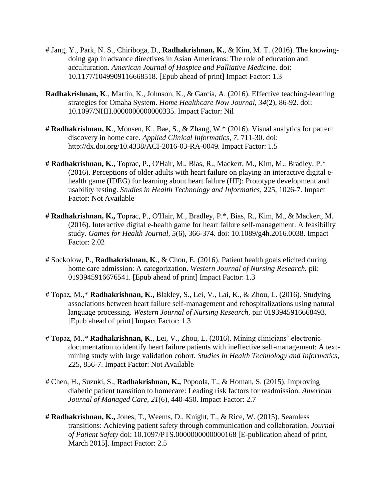- # Jang, Y., Park, N. S., Chiriboga, D., **Radhakrishnan, K.**, & Kim, M. T. (2016). The knowingdoing gap in advance directives in Asian Americans: The role of education and acculturation. *American Journal of Hospice and Palliative Medicine.* doi: 10.1177/1049909116668518. [Epub ahead of print] Impact Factor: 1.3
- **Radhakrishnan, K**., Martin, K., Johnson, K., & Garcia, A. (2016). Effective teaching-learning strategies for Omaha System. *Home Healthcare Now Journal, 34*(2), 86-92. doi: 10.1097/NHH.0000000000000335. Impact Factor: Nil
- **# Radhakrishnan, K**., Monsen, K., Bae, S., & Zhang, W.\* (2016). Visual analytics for pattern discovery in home care. *Applied Clinical Informatics, 7*, 711-30. doi: <http://dx.doi.org/10.4338/ACI-2016-03-RA-0049>*.* Impact Factor: 1.5
- **# Radhakrishnan, K**., Toprac, P., O'Hair, M., Bias, R., Mackert, M., Kim, M., Bradley, P.\* (2016). Perceptions of older adults with heart failure on playing an interactive digital ehealth game (IDEG) for learning about heart failure (HF): Prototype development and usability testing. *Studies in Health Technology and Informatics,* 225, 1026-7. Impact Factor: Not Available
- **# Radhakrishnan, K.,** Toprac, P., O'Hair, M., Bradley, P.\*, Bias, R., Kim, M., & Mackert, M. (2016). Interactive digital e-health game for heart failure self-management: A feasibility study. *Games for Health Journal, 5*(6), 366-374. doi: 10.1089/g4h.2016.0038. Impact Factor: 2.02
- # Sockolow, P., **Radhakrishnan, K**., & Chou, E. (2016). Patient health goals elicited during home care admission: A categorization. *Western Journal of Nursing Research.* pii: 0193945916676541. [Epub ahead of print] Impact Factor: 1.3
- # Topaz, M.,\* **Radhakrishnan, K.,** Blakley, S., Lei, V., Lai, K., & Zhou, L. (2016). Studying associations between heart failure self-management and rehospitalizations using natural language processing. *Western Journal of Nursing Research,* pii: 0193945916668493. [Epub ahead of print] Impact Factor: 1.3
- # Topaz, M.,\* **Radhakrishnan, K**., Lei, V., Zhou, L. (2016). Mining clinicians' electronic documentation to identify heart failure patients with ineffective self-management: A textmining study with large validation cohort. *Studies in Health Technology and Informatics,*  225, 856-7. Impact Factor: Not Available
- # Chen, H., Suzuki, S., **Radhakrishnan, K.,** Popoola, T., & Homan, S. (2015). Improving diabetic patient transition to homecare: Leading risk factors for readmission. *American Journal of Managed Care, 21*(6), 440-450. Impact Factor: 2.7
- **# Radhakrishnan, K.,** Jones, T., Weems, D., Knight, T., & Rice, W. (2015). Seamless transitions: Achieving patient safety through communication and collaboration. *Journal of Patient Safety* doi: 10.1097/PTS.0000000000000168 [E-publication ahead of print, March 2015]. Impact Factor: 2.5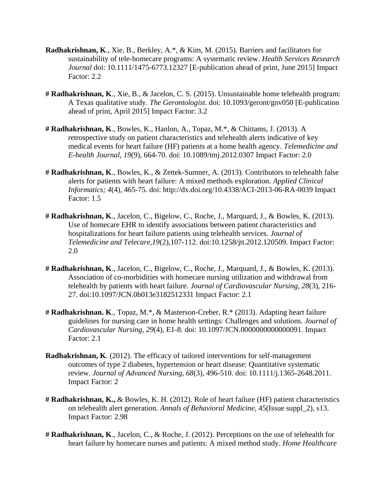- **Radhakrishnan, K**., Xie, B., Berkley, A.\*, & Kim, M. (2015). Barriers and facilitators for sustainability of tele-homecare programs: A systematic review. *Health Services Research Journal* doi: 10.1111/1475-6773.12327 [E-publication ahead of print, June 2015] Impact Factor: 2.2
- **# Radhakrishnan, K**., Xie, B., & Jacelon, C. S. (2015). Unsustainable home telehealth program: A Texas qualitative study. *The Gerontologist*. doi: 10.1093/geront/gnv050 [E-publication ahead of print, April 2015] Impact Factor: 3.2
- **# Radhakrishnan, K**., Bowles, K., Hanlon, A., Topaz, M.\*, & Chittams, J. (2013). A retrospective study on patient characteristics and telehealth alerts indicative of key medical events for heart failure (HF) patients at a home health agency. *Telemedicine and E-health Journal, 19*(9), 664-70. doi: 10.1089/tmj.2012.0307 Impact Factor: 2.0
- **# Radhakrishnan, K**., Bowles, K., & Zettek-Sumner, A. (2013). Contributors to telehealth false alerts for patients with heart failure: A mixed methods exploration. *Applied Clinical Informatics; 4*(4), 465-75. doi:<http://dx.doi.org/10.4338/ACI-2013-06-RA-0039> Impact Factor: 1.5
- **# Radhakrishnan, K**., Jacelon, C., Bigelow, C., Roche, J., Marquard, J., & Bowles, K. (2013). Use of homecare EHR to identify associations between patient characteristics and hospitalizations for heart failure patients using telehealth services. *Journal of Telemedicine and Telecare,19*(2),107-112. doi:10.1258/jtt.2012.120509. Impact Factor: 2.0
- **# Radhakrishnan, K**., Jacelon, C., Bigelow, C., Roche, J., Marquard, J., & Bowles, K. (2013). Association of co-morbidities with homecare nursing utilization and withdrawal from telehealth by patients with heart failure. *Journal of Cardiovascular Nursing, 28*(3), 216- 27. doi:10.1097/JCN.0b013e3182512331 Impact Factor: 2.1
- **# Radhakrishnan. K**., Topaz, M.\*, & Masterson-Creber, R.\* (2013). Adapting heart failure guidelines for nursing care in home health settings: Challenges and solutions. *Journal of Cardiovascular Nursing, 29*(4), E1-8. doi: 10.1097/JCN.0000000000000091. Impact Factor: 2.1
- **Radhakrishnan, K**. (2012). The efficacy of tailored interventions for self-management outcomes of type 2 diabetes, hypertension or heart disease: Quantitative systematic review. *Journal of Advanced Nursing, 68*(3), 496-510. doi: 10.1111/j.1365-2648.2011. Impact Factor: 2
- **# Radhakrishnan, K.,** & Bowles, K. H. (2012). Role of heart failure (HF) patient characteristics on telehealth alert generation. *Annals of Behavioral Medicine*, 45(Issue suppl\_2), s13. Impact Factor: 2.98
- **# Radhakrishnan, K**., Jacelon, C., & Roche, J. (2012). Perceptions on the use of telehealth for heart failure by homecare nurses and patients: A mixed method study. *Home Healthcare*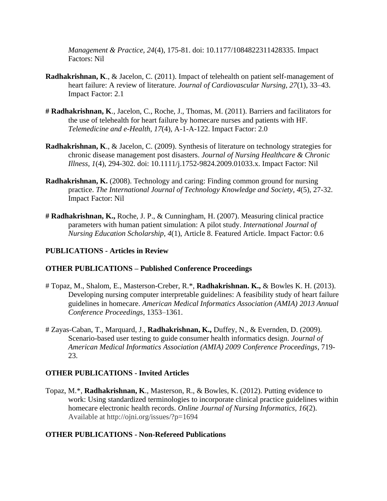*Management & Practice, 24*(4), 175-81. doi: 10.1177/1084822311428335. Impact Factors: Nil

- **Radhakrishnan, K**., & Jacelon, C. (2011). Impact of telehealth on patient self-management of heart failure: A review of literature. *Journal of Cardiovascular Nursing, 27*(1), 33–43. Impact Factor: 2.1
- **# Radhakrishnan, K**., Jacelon, C., Roche, J., Thomas, M. (2011). Barriers and facilitators for the use of telehealth for heart failure by homecare nurses and patients with HF. *Telemedicine and e-Health, 17*(4), A-1-A-122. Impact Factor: 2.0
- **Radhakrishnan, K**., & Jacelon, C. (2009). Synthesis of literature on technology strategies for chronic disease management post disasters. *Journal of Nursing Healthcare & Chronic Illness, 1*(4), 294-302. doi: 10.1111/j.1752-9824.2009.01033.x. Impact Factor: Nil
- **Radhakrishnan, K.** (2008). Technology and caring: Finding common ground for nursing practice. *The International Journal of Technology Knowledge and Society*, *[4](http://ijt.cgpublisher.com/product/pub.42/prod.407)*(5), 27-32. Impact Factor: Nil
- **# Radhakrishnan, K.,** Roche, J. P., & Cunningham, H. (2007). Measuring clinical practice parameters with human patient simulation: A pilot study. *International Journal of Nursing Education Scholarship*, *4*(1), Article 8. Featured Article. Impact Factor: 0.6

# **PUBLICATIONS - Articles in Review**

## **OTHER PUBLICATIONS – Published Conference Proceedings**

- # Topaz, M., Shalom, E., Masterson-Creber, R.\*, **Radhakrishnan. K.,** & Bowles K. H. (2013). Developing nursing computer interpretable guidelines: A feasibility study of heart failure guidelines in homecare. *American Medical Informatics Association (AMIA) 2013 Annual Conference Proceedings,* 1353–1361.
- # Zayas-Caban, T., Marquard, J., **Radhakrishnan, K.,** Duffey, N., & Evernden, D. (2009). Scenario-based user testing to guide consumer health informatics design. *Journal of American Medical Informatics Association (AMIA) 2009 Conference Proceedings*, 719- 23.

## **OTHER PUBLICATIONS - Invited Articles**

Topaz, M.\*, **Radhakrishnan, K**., Masterson, R., & Bowles, K. (2012). Putting evidence to work: Using standardized terminologies to incorporate clinical practice guidelines within homecare electronic health records. *Online Journal of Nursing Informatics, 16*(2). Available at http://ojni.org/issues/?p=1694

## **OTHER PUBLICATIONS - Non-Refereed Publications**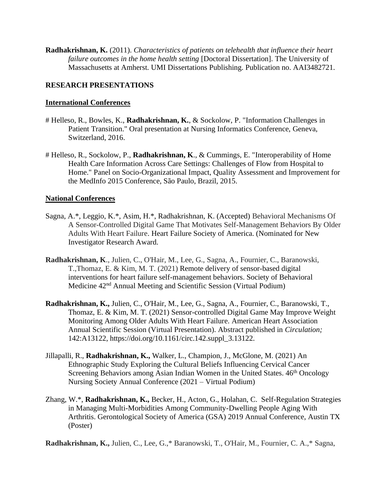**Radhakrishnan, K.** (2011). *Characteristics of patients on telehealth that influence their heart failure outcomes in the home health setting [Doctoral Dissertation]. The University of* Massachusetts at Amherst. UMI Dissertations Publishing. Publication no. AAI3482721.

# **RESEARCH PRESENTATIONS**

# **International Conferences**

- # Helleso, R., Bowles, K., **Radhakrishnan, K.**, & Sockolow, P. "Information Challenges in Patient Transition." Oral presentation at Nursing Informatics Conference, Geneva, Switzerland, 2016.
- # Helleso, R., Sockolow, P., **Radhakrishnan, K**., & Cummings, E. "Interoperability of Home Health Care Information Across Care Settings: Challenges of Flow from Hospital to Home." Panel on Socio-Organizational Impact, Quality Assessment and Improvement for the MedInfo 2015 Conference, São Paulo, Brazil, 2015.

## **National Conferences**

- Sagna, A.\*, Leggio, K.\*, Asim, H.\*, Radhakrishnan, K. (Accepted) Behavioral Mechanisms Of A Sensor-Controlled Digital Game That Motivates Self-Management Behaviors By Older Adults With Heart Failure. Heart Failure Society of America. (Nominated for New Investigator Research Award.
- **Radhakrishnan, K**., Julien, C., O'Hair, M., Lee, G., Sagna, A., Fournier, C., Baranowski, T.,Thomaz, E. & Kim, M. T. (2021) Remote delivery of sensor-based digital interventions for heart failure self-management behaviors. Society of Behavioral Medicine 42nd Annual Meeting and Scientific Session (Virtual Podium)
- **Radhakrishnan, K.,** Julien, C., O'Hair, M., Lee, G., Sagna, A., Fournier, C., Baranowski, T., Thomaz, E. & Kim, M. T. (2021) Sensor-controlled Digital Game May Improve Weight Monitoring Among Older Adults With Heart Failure. American Heart Association Annual Scientific Session (Virtual Presentation). Abstract published in *Circulation;*  142:A13122, https://doi.org/10.1161/circ.142.suppl\_3.13122.
- Jillapalli, R., **Radhakrishnan, K.,** Walker, L., Champion, J., McGlone, M. (2021) An Ethnographic Study Exploring the Cultural Beliefs Influencing Cervical Cancer Screening Behaviors among Asian Indian Women in the United States.  $46<sup>th</sup>$  Oncology Nursing Society Annual Conference (2021 – Virtual Podium)
- Zhang, W.\*, **Radhakrishnan, K.,** Becker, H., Acton, G., Holahan, C. Self-Regulation Strategies in Managing Multi-Morbidities Among Community-Dwelling People Aging With Arthritis. Gerontological Society of America (GSA) 2019 Annual Conference, Austin TX (Poster)

**Radhakrishnan, K.,** Julien, C., Lee, G.,\* Baranowski, T., O'Hair, M., Fournier, C. A.,\* Sagna,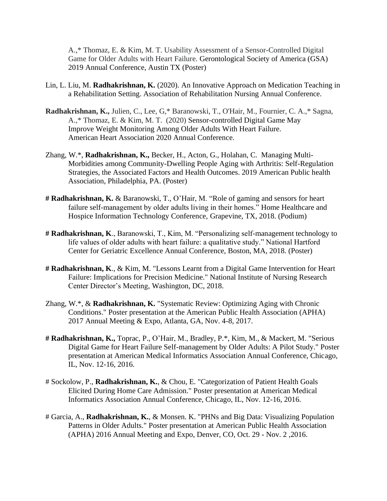A.,\* Thomaz, E. & Kim, M. T. Usability Assessment of a Sensor-Controlled Digital Game for Older Adults with Heart Failure. Gerontological Society of America (GSA) 2019 Annual Conference, Austin TX (Poster)

- Lin, L. Liu, M. **Radhakrishnan, K.** (2020). An Innovative Approach on Medication Teaching in a Rehabilitation Setting. Association of Rehabilitation Nursing Annual Conference.
- **Radhakrishnan, K.,** Julien, C., Lee, G,\* Baranowski, T., O'Hair, M., Fournier, C. A.,\* Sagna, A.,\* Thomaz, E. & Kim, M. T. (2020) Sensor-controlled Digital Game May Improve Weight Monitoring Among Older Adults With Heart Failure. American Heart Association 2020 Annual Conference.
- Zhang, W.\*, **Radhakrishnan, K.,** Becker, H., Acton, G., Holahan, C. Managing Multi-Morbidities among Community-Dwelling People Aging with Arthritis: Self-Regulation Strategies, the Associated Factors and Health Outcomes. 2019 American Public health Association, Philadelphia, PA. (Poster)
- **# Radhakrishnan, K.** & Baranowski, T., O'Hair, M. "Role of gaming and sensors for heart failure self-management by older adults living in their homes." Home Healthcare and Hospice Information Technology Conference, Grapevine, TX, 2018. (Podium)
- **# Radhakrishnan, K**., Baranowski, T., Kim, M. "Personalizing self-management technology to life values of older adults with heart failure: a qualitative study." National Hartford Center for Geriatric Excellence Annual Conference, Boston, MA, 2018. (Poster)
- **# Radhakrishnan, K**., & Kim, M. "Lessons Learnt from a Digital Game Intervention for Heart Failure: Implications for Precision Medicine." National Institute of Nursing Research Center Director's Meeting, Washington, DC, 2018.
- Zhang, W.\*, & **Radhakrishnan, K.** "Systematic Review: Optimizing Aging with Chronic Conditions." Poster presentation at the American Public Health Association (APHA) 2017 Annual Meeting & Expo, Atlanta, GA, Nov. 4-8, 2017.
- **# Radhakrishnan, K.,** Toprac, P., O'Hair, M., Bradley, P.\*, Kim, M., & Mackert, M. "Serious Digital Game for Heart Failure Self-management by Older Adults: A Pilot Study." Poster presentation at American Medical Informatics Association Annual Conference, Chicago, IL, Nov. 12-16, 2016.
- # Sockolow, P., **Radhakrishnan, K.**, & Chou, E. "Categorization of Patient Health Goals Elicited During Home Care Admission." Poster presentation at American Medical Informatics Association Annual Conference, Chicago, IL, Nov. 12-16, 2016.
- # Garcia, A., **Radhakrishnan, K.**, & Monsen. K. "PHNs and Big Data: Visualizing Population Patterns in Older Adults." Poster presentation at American Public Health Association (APHA) 2016 Annual Meeting and Expo, Denver, CO, Oct. 29 - Nov. 2 ,2016.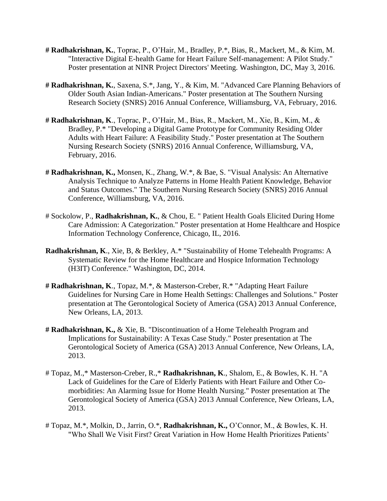- **# Radhakrishnan, K.**, Toprac, P., O'Hair, M., Bradley, P.\*, Bias, R., Mackert, M., & Kim, M. "Interactive Digital E-health Game for Heart Failure Self-management: A Pilot Study." Poster presentation at NINR Project Directors' Meeting. Washington, DC, May 3, 2016.
- **# Radhakrishnan, K.**, Saxena, S.\*, Jang, Y., & Kim, M. "Advanced Care Planning Behaviors of Older South Asian Indian-Americans." Poster presentation at The Southern Nursing Research Society (SNRS) 2016 Annual Conference, Williamsburg, VA, February, 2016.
- **# Radhakrishnan, K**., Toprac, P., O'Hair, M., Bias, R., Mackert, M., Xie, B., Kim, M., & Bradley, P.\* "Developing a Digital Game Prototype for Community Residing Older Adults with Heart Failure: A Feasibility Study." Poster presentation at The Southern Nursing Research Society (SNRS) 2016 Annual Conference, Williamsburg, VA, February, 2016.
- **# Radhakrishnan, K.,** Monsen, K., Zhang, W.\*, & Bae, S. "Visual Analysis: An Alternative Analysis Technique to Analyze Patterns in Home Health Patient Knowledge, Behavior and Status Outcomes." The Southern Nursing Research Society (SNRS) 2016 Annual Conference, Williamsburg, VA, 2016.
- # Sockolow, P., **Radhakrishnan, K.**, & Chou, E. " Patient Health Goals Elicited During Home Care Admission: A Categorization." Poster presentation at Home Healthcare and Hospice Information Technology Conference, Chicago, IL, 2016.
- **Radhakrishnan, K**., Xie, B, & Berkley, A.\* "Sustainability of Home Telehealth Programs: A Systematic Review for the Home Healthcare and Hospice Information Technology (H3IT) Conference." Washington, DC, 2014.
- **# Radhakrishnan, K**., Topaz, M.\*, & Masterson-Creber, R.\* "Adapting Heart Failure Guidelines for Nursing Care in Home Health Settings: Challenges and Solutions." Poster presentation at The Gerontological Society of America (GSA) 2013 Annual Conference, New Orleans, LA, 2013.
- **# Radhakrishnan, K.,** & Xie, B. "Discontinuation of a Home Telehealth Program and Implications for Sustainability: A Texas Case Study." Poster presentation at The Gerontological Society of America (GSA) 2013 Annual Conference, New Orleans, LA, 2013.
- # Topaz, M.,\* Masterson-Creber, R.,\* **Radhakrishnan, K**., Shalom, E., & Bowles, K. H. "A Lack of Guidelines for the Care of Elderly Patients with Heart Failure and Other Comorbidities: An Alarming Issue for Home Health Nursing." Poster presentation at The Gerontological Society of America (GSA) 2013 Annual Conference, New Orleans, LA, 2013.
- # Topaz, M.\*, Molkin, D., Jarrin, O.\*, **Radhakrishnan, K.,** O'Connor, M., & Bowles, K. H. "Who Shall We Visit First? Great Variation in How Home Health Prioritizes Patients'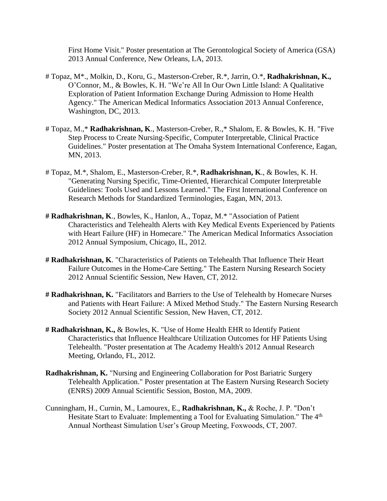First Home Visit." Poster presentation at The Gerontological Society of America (GSA) 2013 Annual Conference, New Orleans, LA, 2013.

- # Topaz, M\*., Molkin, D., Koru, G., Masterson-Creber, R.\*, Jarrin, O.\*, **Radhakrishnan, K.,** O'Connor, M., & Bowles, K. H. "We're All In Our Own Little Island: A Qualitative Exploration of Patient Information Exchange During Admission to Home Health Agency." The American Medical Informatics Association 2013 Annual Conference, Washington, DC, 2013.
- # Topaz, M.,\* **Radhakrishnan, K**., Masterson-Creber, R.,\* Shalom, E. & Bowles, K. H. "Five Step Process to Create Nursing-Specific, Computer Interpretable, Clinical Practice Guidelines." Poster presentation at The Omaha System International Conference, Eagan, MN, 2013.
- # Topaz, M.\*, Shalom, E., Masterson-Creber, R.\*, **Radhakrishnan, K**., & Bowles, K. H. "Generating Nursing Specific, Time-Oriented, Hierarchical Computer Interpretable Guidelines: Tools Used and Lessons Learned." The First International Conference on Research Methods for Standardized Terminologies, Eagan, MN, 2013.
- **# Radhakrishnan, K**., Bowles, K., Hanlon, A., Topaz, M.\* "Association of Patient Characteristics and Telehealth Alerts with Key Medical Events Experienced by Patients with Heart Failure (HF) in Homecare." The American Medical Informatics Association 2012 Annual Symposium, Chicago, IL, 2012.
- **# Radhakrishnan, K**. "Characteristics of Patients on Telehealth That Influence Their Heart Failure Outcomes in the Home-Care Setting." The Eastern Nursing Research Society 2012 Annual Scientific Session, New Haven, CT, 2012.
- **# Radhakrishnan, K.** "Facilitators and Barriers to the Use of Telehealth by Homecare Nurses and Patients with Heart Failure: A Mixed Method Study." The Eastern Nursing Research Society 2012 Annual Scientific Session, New Haven, CT, 2012.
- **# Radhakrishnan, K.,** & Bowles, K. "Use of Home Health EHR to Identify Patient Characteristics that Influence Healthcare Utilization Outcomes for HF Patients Using Telehealth. "Poster presentation at The Academy Health's 2012 Annual Research Meeting, Orlando, FL, 2012.
- **Radhakrishnan, K.** "Nursing and Engineering Collaboration for Post Bariatric Surgery Telehealth Application." Poster presentation at The Eastern Nursing Research Society (ENRS) 2009 Annual Scientific Session, Boston, MA, 2009.
- Cunningham, H., Curnin, M., Lamourex, E., **Radhakrishnan, K.,** & Roche, J. P. "Don't Hesitate Start to Evaluate: Implementing a Tool for Evaluating Simulation." The 4<sup>th</sup> Annual Northeast Simulation User's Group Meeting, Foxwoods, CT, 2007.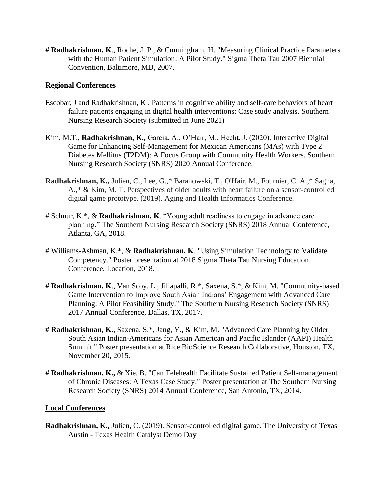**# Radhakrishnan, K**., Roche, J. P., & Cunningham, H. "Measuring Clinical Practice Parameters with the Human Patient Simulation: A Pilot Study." Sigma Theta Tau 2007 Biennial Convention, Baltimore, MD, 2007.

## **Regional Conferences**

- Escobar, J and Radhakrishnan, K . Patterns in cognitive ability and self-care behaviors of heart failure patients engaging in digital health interventions: Case study analysis. Southern Nursing Research Society (submitted in June 2021)
- Kim, M.T., **Radhakrishnan, K.,** Garcia, A., O'Hair, M., Hecht, J. (2020). Interactive Digital Game for Enhancing Self-Management for Mexican Americans (MAs) with Type 2 Diabetes Mellitus (T2DM): A Focus Group with Community Health Workers. Southern Nursing Research Society (SNRS) 2020 Annual Conference.
- **Radhakrishnan, K.,** Julien, C., Lee, G.,\* Baranowski, T., O'Hair, M., Fournier, C. A.,\* Sagna, A.,\* & Kim, M. T. Perspectives of older adults with heart failure on a sensor-controlled digital game prototype. (2019). Aging and Health Informatics Conference.
- # Schnur, K.\*, & **Radhakrishnan, K**. "Young adult readiness to engage in advance care planning." The Southern Nursing Research Society (SNRS) 2018 Annual Conference, Atlanta, GA, 2018.
- # Williams-Ashman, K.\*, & **Radhakrishnan, K**. "Using Simulation Technology to Validate Competency." Poster presentation at 2018 Sigma Theta Tau Nursing Education Conference, Location, 2018.
- **# Radhakrishnan, K**., Van Scoy, L., Jillapalli, R.\*, Saxena, S.\*, & Kim, M. "Community-based Game Intervention to Improve South Asian Indians' Engagement with Advanced Care Planning: A Pilot Feasibility Study." The Southern Nursing Research Society (SNRS) 2017 Annual Conference, Dallas, TX, 2017.
- **# Radhakrishnan, K**., Saxena, S.\*, Jang, Y., & Kim, M. "Advanced Care Planning by Older South Asian Indian-Americans for Asian American and Pacific Islander (AAPI) Health Summit." Poster presentation at Rice BioScience Research Collaborative, Houston, TX, November 20, 2015.
- **# Radhakrishnan, K.,** & Xie, B. "Can Telehealth Facilitate Sustained Patient Self-management of Chronic Diseases: A Texas Case Study." Poster presentation at The Southern Nursing Research Society (SNRS) 2014 Annual Conference, San Antonio, TX, 2014.

## **Local Conferences**

**Radhakrishnan, K.,** Julien, C. (2019). Sensor-controlled digital game. The University of Texas Austin - Texas Health Catalyst Demo Day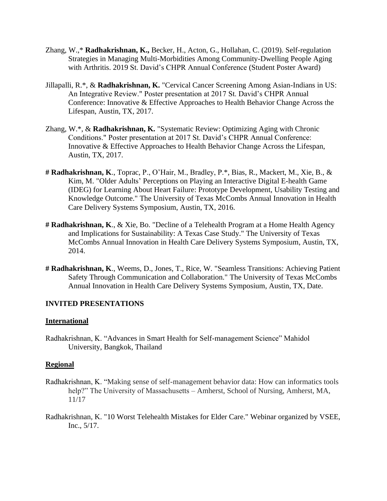- Zhang, W.,\* **Radhakrishnan, K.,** Becker, H., Acton, G., Hollahan, C. (2019). Self-regulation Strategies in Managing Multi-Morbidities Among Community-Dwelling People Aging with Arthritis. 2019 St. David's CHPR Annual Conference (Student Poster Award)
- Jillapalli, R.\*, & **Radhakrishnan, K.** "Cervical Cancer Screening Among Asian-Indians in US: An Integrative Review." Poster presentation at 2017 St. David's CHPR Annual Conference: Innovative & Effective Approaches to Health Behavior Change Across the Lifespan, Austin, TX, 2017.
- Zhang, W.\*, & **Radhakrishnan, K.** "Systematic Review: Optimizing Aging with Chronic Conditions." Poster presentation at 2017 St. David's CHPR Annual Conference: Innovative & Effective Approaches to Health Behavior Change Across the Lifespan, Austin, TX, 2017.
- **# Radhakrishnan, K**., Toprac, P., O'Hair, M., Bradley, P.\*, Bias, R., Mackert, M., Xie, B., & Kim, M. "Older Adults' Perceptions on Playing an Interactive Digital E-health Game (IDEG) for Learning About Heart Failure: Prototype Development, Usability Testing and Knowledge Outcome." The University of Texas McCombs Annual Innovation in Health Care Delivery Systems Symposium, Austin, TX, 2016.
- **# Radhakrishnan, K**., & Xie, Bo. "Decline of a Telehealth Program at a Home Health Agency and Implications for Sustainability: A Texas Case Study." The University of Texas McCombs Annual Innovation in Health Care Delivery Systems Symposium, Austin, TX, 2014.
- **# Radhakrishnan, K**., Weems, D., Jones, T., Rice, W. "Seamless Transitions: Achieving Patient Safety Through Communication and Collaboration." The University of Texas McCombs Annual Innovation in Health Care Delivery Systems Symposium, Austin, TX, Date.

### **INVITED PRESENTATIONS**

#### **International**

Radhakrishnan, K. "Advances in Smart Health for Self-management Science" Mahidol University, Bangkok, Thailand

#### **Regional**

- Radhakrishnan, K. "Making sense of self-management behavior data: How can informatics tools help?" The University of Massachusetts – Amherst, School of Nursing, Amherst, MA, 11/17
- Radhakrishnan, K. "10 Worst Telehealth Mistakes for Elder Care." Webinar organized by VSEE, Inc., 5/17.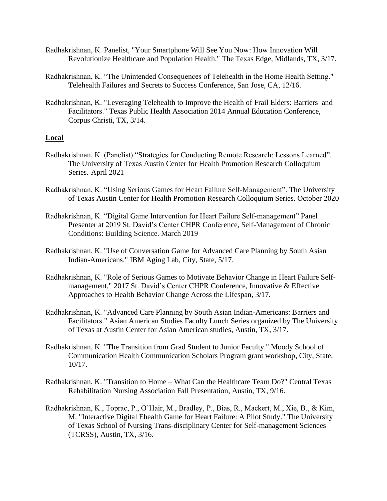- Radhakrishnan, K. Panelist, "Your Smartphone Will See You Now: How Innovation Will Revolutionize Healthcare and Population Health." The Texas Edge, Midlands, TX, 3/17.
- Radhakrishnan, K. "The Unintended Consequences of Telehealth in the Home Health Setting." Telehealth Failures and Secrets to Success Conference, San Jose, CA, 12/16.
- Radhakrishnan, K. "Leveraging Telehealth to Improve the Health of Frail Elders: Barriers and Facilitators." Texas Public Health Association 2014 Annual Education Conference, Corpus Christi, TX, 3/14.

## **Local**

- Radhakrishnan, K. (Panelist) "Strategies for Conducting Remote Research: Lessons Learned". The University of Texas Austin Center for Health Promotion Research Colloquium Series. April 2021
- Radhakrishnan, K. "Using Serious Games for Heart Failure Self-Management". The University of Texas Austin Center for Health Promotion Research Colloquium Series. October 2020
- Radhakrishnan, K. "Digital Game Intervention for Heart Failure Self-management" Panel Presenter at 2019 St. David's Center CHPR Conference, Self-Management of Chronic Conditions: Building Science. March 2019
- Radhakrishnan, K. "Use of Conversation Game for Advanced Care Planning by South Asian Indian-Americans." IBM Aging Lab, City, State, 5/17.
- Radhakrishnan, K. "Role of Serious Games to Motivate Behavior Change in Heart Failure Selfmanagement," 2017 St. David's Center CHPR Conference, Innovative & Effective Approaches to Health Behavior Change Across the Lifespan, 3/17.
- Radhakrishnan, K. "Advanced Care Planning by South Asian Indian-Americans: Barriers and Facilitators." Asian American Studies Faculty Lunch Series organized by The University of Texas at Austin Center for Asian American studies, Austin, TX, 3/17.
- Radhakrishnan, K. "The Transition from Grad Student to Junior Faculty." Moody School of Communication Health Communication Scholars Program grant workshop, City, State, 10/17.
- Radhakrishnan, K. "Transition to Home What Can the Healthcare Team Do?" Central Texas Rehabilitation Nursing Association Fall Presentation, Austin, TX, 9/16.
- Radhakrishnan, K., Toprac, P., O'Hair, M., Bradley, P., Bias, R., Mackert, M., Xie, B., & Kim, M. "Interactive Digital Ehealth Game for Heart Failure: A Pilot Study." The University of Texas School of Nursing Trans-disciplinary Center for Self-management Sciences (TCRSS), Austin, TX, 3/16.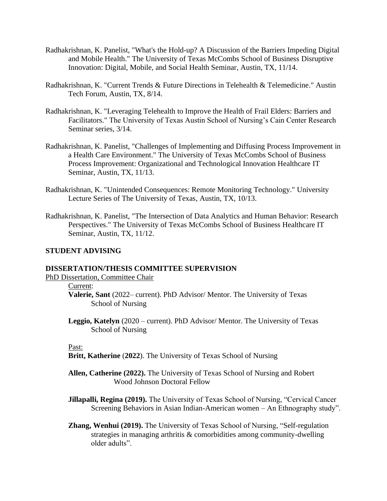- Radhakrishnan, K. Panelist, "What's the Hold-up? A Discussion of the Barriers Impeding Digital and Mobile Health." The University of Texas McCombs School of Business Disruptive Innovation: Digital, Mobile, and Social Health Seminar, Austin, TX, 11/14.
- Radhakrishnan, K. "Current Trends & Future Directions in Telehealth & Telemedicine." Austin Tech Forum, Austin, TX, 8/14.
- Radhakrishnan, K. "Leveraging Telehealth to Improve the Health of Frail Elders: Barriers and Facilitators." The University of Texas Austin School of Nursing's Cain Center Research Seminar series, 3/14.
- Radhakrishnan, K. Panelist, "Challenges of Implementing and Diffusing Process Improvement in a Health Care Environment." The University of Texas McCombs School of Business Process Improvement: Organizational and Technological Innovation Healthcare IT Seminar, Austin, TX, 11/13.
- Radhakrishnan, K. "Unintended Consequences: Remote Monitoring Technology." University Lecture Series of The University of Texas, Austin, TX, 10/13.
- Radhakrishnan, K. Panelist, "The Intersection of Data Analytics and Human Behavior: Research Perspectives." The University of Texas McCombs School of Business Healthcare IT Seminar, Austin, TX, 11/12.

#### **STUDENT ADVISING**

## **DISSERTATION/THESIS COMMITTEE SUPERVISION**

PhD Dissertation, Committee Chair

#### Current:

- **Valerie, Sant** (2022– current). PhD Advisor/ Mentor. The University of Texas School of Nursing
- **Leggio, Katelyn** (2020 current). PhD Advisor/ Mentor. The University of Texas School of Nursing

#### Past:

- **Britt, Katherine** (**2022**). The University of Texas School of Nursing
- **Allen, Catherine (2022).** The University of Texas School of Nursing and Robert Wood Johnson Doctoral Fellow
- **Jillapalli, Regina (2019).** The University of Texas School of Nursing, "Cervical Cancer" Screening Behaviors in Asian Indian-American women – An Ethnography study".
- **Zhang, Wenhui (2019).** The University of Texas School of Nursing, "Self-regulation strategies in managing arthritis & comorbidities among community-dwelling older adults".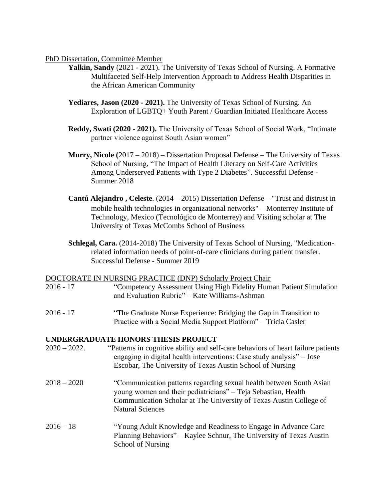### PhD Dissertation, Committee Member

- **Yalkin, Sandy** (2021 2021). The University of Texas School of Nursing. A Formative Multifaceted Self-Help Intervention Approach to Address Health Disparities in the African American Community
- **Yediares, Jason (2020 - 2021).** The University of Texas School of Nursing. An Exploration of LGBTQ+ Youth Parent / Guardian Initiated Healthcare Access
- **Reddy, Swati (2020 - 2021).** The University of Texas School of Social Work, "Intimate partner violence against South Asian women"
- **Murry, Nicole (**2017 2018) Dissertation Proposal Defense The University of Texas School of Nursing, "The Impact of Health Literacy on Self-Care Activities Among Underserved Patients with Type 2 Diabetes". Successful Defense - Summer 2018
- **Cantú Alejandro , Celeste**. (2014 2015) Dissertation Defense "Trust and distrust in mobile health technologies in organizational networks" – Monterrey Institute of Technology, Mexico (Tecnológico de Monterrey) and Visiting scholar at The University of Texas McCombs School of Business
- **Schlegal, Cara.** (2014-2018) The University of Texas School of Nursing, "Medicationrelated information needs of point-of-care clinicians during patient transfer. Successful Defense - Summer 2019

#### DOCTORATE IN NURSING PRACTICE (DNP) Scholarly Project Chair

- 2016 17 "Competency Assessment Using High Fidelity Human Patient Simulation and Evaluation Rubric" – Kate Williams-Ashman
- 2016 17 "The Graduate Nurse Experience: Bridging the Gap in Transition to Practice with a Social Media Support Platform" – Tricia Casler

# **UNDERGRADUATE HONORS THESIS PROJECT**

- 2020 2022. "Patterns in cognitive ability and self-care behaviors of heart failure patients engaging in digital health interventions: Case study analysis" – Jose Escobar, The University of Texas Austin School of Nursing
- 2018 2020 "Communication patterns regarding sexual health between South Asian young women and their pediatricians" – Teja Sebastian, Health Communication Scholar at The University of Texas Austin College of Natural Sciences
- 2016 18 "Young Adult Knowledge and Readiness to Engage in Advance Care Planning Behaviors" – Kaylee Schnur, The University of Texas Austin School of Nursing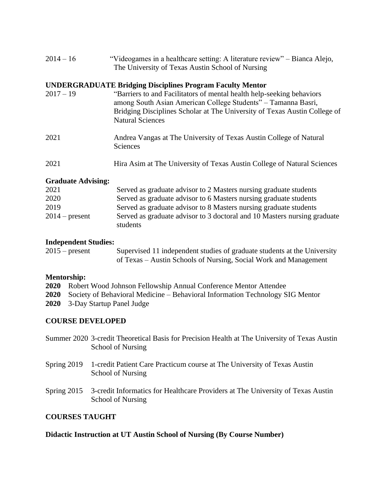| $2014 - 16$ | "Videogames in a healthcare setting: A literature review" – Bianca Alejo, |
|-------------|---------------------------------------------------------------------------|
|             | The University of Texas Austin School of Nursing                          |

## **UNDERGRADUATE Bridging Disciplines Program Faculty Mentor**

| $2017 - 19$               | "Barriers to and Facilitators of mental health help-seeking behaviors<br>among South Asian American College Students" - Tamanna Basri,<br>Bridging Disciplines Scholar at The University of Texas Austin College of<br><b>Natural Sciences</b> |
|---------------------------|------------------------------------------------------------------------------------------------------------------------------------------------------------------------------------------------------------------------------------------------|
| 2021                      | Andrea Vangas at The University of Texas Austin College of Natural<br><b>Sciences</b>                                                                                                                                                          |
| 2021                      | Hira Asim at The University of Texas Austin College of Natural Sciences                                                                                                                                                                        |
| <b>Graduate Advising:</b> |                                                                                                                                                                                                                                                |
| 2021                      | Served as graduate advisor to 2 Masters nursing graduate students                                                                                                                                                                              |
| ാറാവ                      | Served as graduate advisor to 6 Masters pursing graduate students                                                                                                                                                                              |

| 2020             | Served as graduate advisor to 6 Masters nursing graduate students        |
|------------------|--------------------------------------------------------------------------|
| 2019             | Served as graduate advisor to 8 Masters nursing graduate students        |
| $2014$ – present | Served as graduate advisor to 3 doctoral and 10 Masters nursing graduate |
|                  | students                                                                 |

## **Independent Studies:**

| $2015$ – present | Supervised 11 independent studies of graduate students at the University |
|------------------|--------------------------------------------------------------------------|
|                  | of Texas – Austin Schools of Nursing, Social Work and Management         |

## **Mentorship:**

| 2020 Robert Wood Johnson Fellowship Annual Conference Mentor Attendee                     |
|-------------------------------------------------------------------------------------------|
| <b>2020</b> Society of Behavioral Medicine – Behavioral Information Technology SIG Mentor |
| 2020 3-Day Startup Panel Judge                                                            |

## **COURSE DEVELOPED**

| Summer 2020 3-credit Theoretical Basis for Precision Health at The University of Texas Austin |  |  |
|-----------------------------------------------------------------------------------------------|--|--|
| School of Nursing                                                                             |  |  |

- Spring 2019 1-credit Patient Care Practicum course at The University of Texas Austin School of Nursing
- Spring 2015 3-credit Informatics for Healthcare Providers at The University of Texas Austin School of Nursing

## **COURSES TAUGHT**

# **Didactic Instruction at UT Austin School of Nursing (By Course Number)**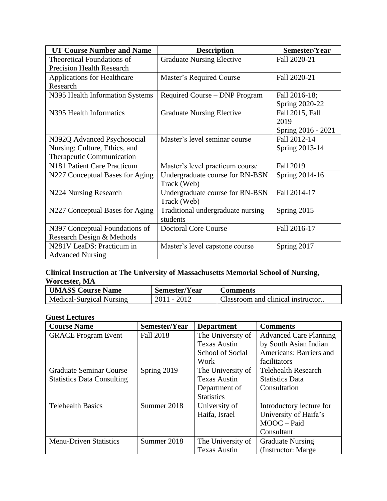| <b>UT Course Number and Name</b>                     | <b>Description</b>                             | Semester/Year      |
|------------------------------------------------------|------------------------------------------------|--------------------|
| <b>Theoretical Foundations of</b>                    | <b>Graduate Nursing Elective</b>               | Fall 2020-21       |
| <b>Precision Health Research</b>                     |                                                |                    |
| <b>Applications for Healthcare</b>                   | Master's Required Course                       | Fall 2020-21       |
| Research                                             |                                                |                    |
| N395 Health Information Systems                      | Required Course – DNP Program                  | Fall 2016-18;      |
|                                                      |                                                | Spring 2020-22     |
| N395 Health Informatics                              | <b>Graduate Nursing Elective</b>               | Fall 2015, Fall    |
|                                                      |                                                | 2019               |
|                                                      |                                                | Spring 2016 - 2021 |
| N392Q Advanced Psychosocial                          | Master's level seminar course                  | Fall 2012-14       |
| Nursing: Culture, Ethics, and                        |                                                | Spring 2013-14     |
| Therapeutic Communication                            |                                                |                    |
| N181 Patient Care Practicum                          | Master's level practicum course                | Fall 2019          |
| N227 Conceptual Bases for Aging                      | Undergraduate course for RN-BSN                | Spring 2014-16     |
|                                                      | Track (Web)                                    |                    |
| N224 Nursing Research                                | Undergraduate course for RN-BSN<br>Track (Web) | Fall 2014-17       |
| N227 Conceptual Bases for Aging                      | Traditional undergraduate nursing<br>students  | Spring 2015        |
| N397 Conceptual Foundations of                       | <b>Doctoral Core Course</b>                    | Fall 2016-17       |
| Research Design & Methods                            |                                                |                    |
| N281V LeaDS: Practicum in<br><b>Advanced Nursing</b> | Master's level capstone course                 | Spring 2017        |

## **Clinical Instruction at The University of Massachusetts Memorial School of Nursing, Worcester, MA**

| <b>UMASS Course Name</b> | Semester/Year | <b>Comments</b>                   |  |
|--------------------------|---------------|-----------------------------------|--|
| Medical-Surgical Nursing | $2011 - 2012$ | Classroom and clinical instructor |  |

## **Guest Lectures**

| <b>Course Name</b>                | Semester/Year | <b>Department</b>   | <b>Comments</b>               |
|-----------------------------------|---------------|---------------------|-------------------------------|
| <b>GRACE Program Event</b>        | Fall 2018     | The University of   | <b>Advanced Care Planning</b> |
|                                   |               | <b>Texas Austin</b> | by South Asian Indian         |
|                                   |               | School of Social    | Americans: Barriers and       |
|                                   |               | Work                | facilitators                  |
| Graduate Seminar Course -         | Spring 2019   | The University of   | <b>Telehealth Research</b>    |
| <b>Statistics Data Consulting</b> |               | <b>Texas Austin</b> | <b>Statistics Data</b>        |
|                                   |               | Department of       | Consultation                  |
|                                   |               | <b>Statistics</b>   |                               |
| <b>Telehealth Basics</b>          | Summer 2018   | University of       | Introductory lecture for      |
|                                   |               | Haifa, Israel       | University of Haifa's         |
|                                   |               |                     | $MOOC-Paid$                   |
|                                   |               |                     | Consultant                    |
| <b>Menu-Driven Statistics</b>     | Summer 2018   | The University of   | <b>Graduate Nursing</b>       |
|                                   |               | <b>Texas Austin</b> | (Instructor: Marge)           |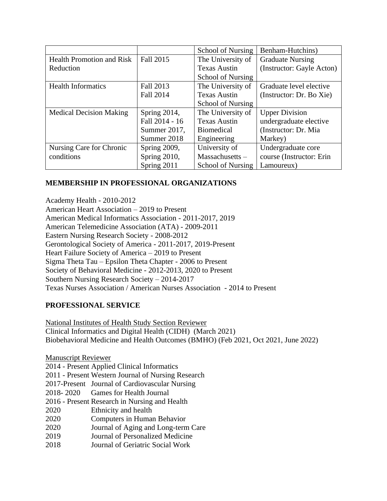|                                  |                | <b>School of Nursing</b> | Benham-Hutchins)          |  |
|----------------------------------|----------------|--------------------------|---------------------------|--|
| <b>Health Promotion and Risk</b> | Fall 2015      | The University of        | <b>Graduate Nursing</b>   |  |
| Reduction                        |                | <b>Texas Austin</b>      | (Instructor: Gayle Acton) |  |
|                                  |                | <b>School of Nursing</b> |                           |  |
| <b>Health Informatics</b>        | Fall 2013      | The University of        | Graduate level elective   |  |
|                                  | Fall 2014      | <b>Texas Austin</b>      | (Instructor: Dr. Bo Xie)  |  |
|                                  |                | <b>School of Nursing</b> |                           |  |
| <b>Medical Decision Making</b>   | Spring 2014,   | The University of        | <b>Upper Division</b>     |  |
|                                  | Fall 2014 - 16 | <b>Texas Austin</b>      | undergraduate elective    |  |
|                                  | Summer 2017,   | <b>Biomedical</b>        | (Instructor: Dr. Mia      |  |
|                                  | Summer 2018    | Engineering              | Markey)                   |  |
| Nursing Care for Chronic         | Spring 2009,   | University of            | Undergraduate core        |  |
| conditions                       | Spring 2010,   | $Massachusetts -$        | course (Instructor: Erin  |  |
|                                  | Spring 2011    | <b>School of Nursing</b> | Lamoureux)                |  |

# **MEMBERSHIP IN PROFESSIONAL ORGANIZATIONS**

Academy Health - 2010-2012 American Heart Association – 2019 to Present American Medical Informatics Association - 2011-2017, 2019 American Telemedicine Association (ATA) - 2009-2011 Eastern Nursing Research Society - 2008-2012 Gerontological Society of America - 2011-2017, 2019-Present Heart Failure Society of America – 2019 to Present Sigma Theta Tau – Epsilon Theta Chapter - 2006 to Present Society of Behavioral Medicine - 2012-2013, 2020 to Present Southern Nursing Research Society – 2014-2017 Texas Nurses Association / American Nurses Association - 2014 to Present

# **PROFESSIONAL SERVICE**

National Institutes of Health Study Section Reviewer Clinical Informatics and Digital Health (CIDH) (March 2021) Biobehavioral Medicine and Health Outcomes (BMHO) (Feb 2021, Oct 2021, June 2022)

Manuscript Reviewer 2014 - Present Applied Clinical Informatics 2011 - Present Western Journal of Nursing Research 2017-Present Journal of Cardiovascular Nursing 2018- 2020 Games for Health Journal 2016 - Present Research in Nursing and Health 2020 Ethnicity and health 2020 Computers in Human Behavior 2020 Journal of Aging and Long-term Care 2019 Journal of Personalized Medicine 2018 Journal of Geriatric Social Work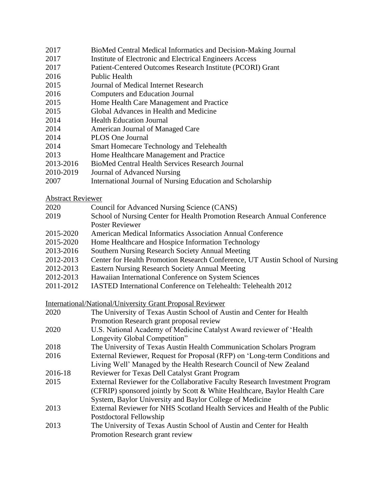- 2017 BioMed Central Medical Informatics and Decision-Making Journal
- 2017 Institute of Electronic and Electrical Engineers Access
- 2017 Patient-Centered Outcomes Research Institute (PCORI) Grant
- 2016 Public Health
- 2015 Journal of Medical Internet Research
- 2016 Computers and Education Journal
- 2015 Home Health Care Management and Practice
- 2015 Global Advances in Health and Medicine
- 2014 Health Education Journal
- 2014 American Journal of Managed Care
- 2014 PLOS One Journal
- 2014 Smart Homecare Technology and Telehealth
- 2013 Home Healthcare Management and Practice
- 2013-2016 BioMed Central Health Services Research Journal
- 2010-2019 Journal of Advanced Nursing
- 2007 International Journal of Nursing Education and Scholarship

## Abstract Reviewer

- 2020 Council for Advanced Nursing Science (CANS)
- 2019 School of Nursing Center for Health Promotion Research Annual Conference Poster Reviewer
- 2015-2020 American Medical Informatics Association Annual Conference
- 2015-2020 Home Healthcare and Hospice Information Technology
- 2013-2016 Southern Nursing Research Society Annual Meeting
- 2012-2013 Center for Health Promotion Research Conference, UT Austin School of Nursing
- 2012-2013 Eastern Nursing Research Society Annual Meeting
- 2012-2013 Hawaiian International Conference on System Sciences
- 2011-2012 IASTED International Conference on Telehealth: Telehealth 2012

International/National/University Grant Proposal Reviewer

| 2020    | The University of Texas Austin School of Austin and Center for Health       |
|---------|-----------------------------------------------------------------------------|
|         | Promotion Research grant proposal review                                    |
| 2020    | U.S. National Academy of Medicine Catalyst Award reviewer of 'Health        |
|         | Longevity Global Competition"                                               |
| 2018    | The University of Texas Austin Health Communication Scholars Program        |
| 2016    | External Reviewer, Request for Proposal (RFP) on 'Long-term Conditions and  |
|         | Living Well' Managed by the Health Research Council of New Zealand          |
| 2016-18 | <b>Reviewer for Texas Dell Catalyst Grant Program</b>                       |
| 2015    | External Reviewer for the Collaborative Faculty Research Investment Program |
|         | (CFRIP) sponsored jointly by Scott & White Healthcare, Baylor Health Care   |
|         | System, Baylor University and Baylor College of Medicine                    |
| 2013    | External Reviewer for NHS Scotland Health Services and Health of the Public |
|         | Postdoctoral Fellowship                                                     |
| 2013    | The University of Texas Austin School of Austin and Center for Health       |
|         | Promotion Research grant review                                             |
|         |                                                                             |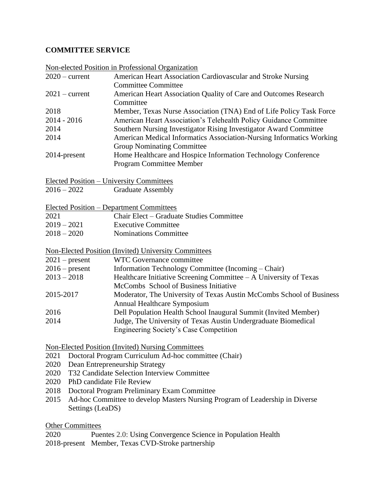# **COMMITTEE SERVICE**

| $2020$ – current<br>American Heart Association Cardiovascular and Stroke Nursing<br><b>Committee Committee</b><br>American Heart Association Quality of Care and Outcomes Research<br>$2021$ – current<br>Committee<br>2018<br>Member, Texas Nurse Association (TNA) End of Life Policy Task Force<br>$2014 - 2016$<br>American Heart Association's Telehealth Policy Guidance Committee<br>2014<br>Southern Nursing Investigator Rising Investigator Award Committee<br>2014<br>American Medical Informatics Association-Nursing Informatics Working<br><b>Group Nominating Committee</b> |  | Non-elected Position in Professional Organization                    |  |
|--------------------------------------------------------------------------------------------------------------------------------------------------------------------------------------------------------------------------------------------------------------------------------------------------------------------------------------------------------------------------------------------------------------------------------------------------------------------------------------------------------------------------------------------------------------------------------------------|--|----------------------------------------------------------------------|--|
|                                                                                                                                                                                                                                                                                                                                                                                                                                                                                                                                                                                            |  |                                                                      |  |
|                                                                                                                                                                                                                                                                                                                                                                                                                                                                                                                                                                                            |  |                                                                      |  |
|                                                                                                                                                                                                                                                                                                                                                                                                                                                                                                                                                                                            |  |                                                                      |  |
|                                                                                                                                                                                                                                                                                                                                                                                                                                                                                                                                                                                            |  |                                                                      |  |
|                                                                                                                                                                                                                                                                                                                                                                                                                                                                                                                                                                                            |  |                                                                      |  |
|                                                                                                                                                                                                                                                                                                                                                                                                                                                                                                                                                                                            |  |                                                                      |  |
|                                                                                                                                                                                                                                                                                                                                                                                                                                                                                                                                                                                            |  |                                                                      |  |
| Home Healthcare and Hospice Information Technology Conference                                                                                                                                                                                                                                                                                                                                                                                                                                                                                                                              |  |                                                                      |  |
| 2014-present<br>Program Committee Member                                                                                                                                                                                                                                                                                                                                                                                                                                                                                                                                                   |  |                                                                      |  |
|                                                                                                                                                                                                                                                                                                                                                                                                                                                                                                                                                                                            |  |                                                                      |  |
| <b>Elected Position - University Committees</b>                                                                                                                                                                                                                                                                                                                                                                                                                                                                                                                                            |  |                                                                      |  |
| $2016 - 2022$<br><b>Graduate Assembly</b>                                                                                                                                                                                                                                                                                                                                                                                                                                                                                                                                                  |  |                                                                      |  |
|                                                                                                                                                                                                                                                                                                                                                                                                                                                                                                                                                                                            |  |                                                                      |  |
| <b>Elected Position – Department Committees</b>                                                                                                                                                                                                                                                                                                                                                                                                                                                                                                                                            |  |                                                                      |  |
| Chair Elect – Graduate Studies Committee<br>2021                                                                                                                                                                                                                                                                                                                                                                                                                                                                                                                                           |  |                                                                      |  |
| $2019 - 2021$<br><b>Executive Committee</b>                                                                                                                                                                                                                                                                                                                                                                                                                                                                                                                                                |  |                                                                      |  |
| $2018 - 2020$<br><b>Nominations Committee</b>                                                                                                                                                                                                                                                                                                                                                                                                                                                                                                                                              |  |                                                                      |  |
|                                                                                                                                                                                                                                                                                                                                                                                                                                                                                                                                                                                            |  |                                                                      |  |
| <b>Non-Elected Position (Invited) University Committees</b><br>WTC Governance committee                                                                                                                                                                                                                                                                                                                                                                                                                                                                                                    |  |                                                                      |  |
| $2021$ – present<br>$2016$ – present<br>Information Technology Committee (Incoming – Chair)                                                                                                                                                                                                                                                                                                                                                                                                                                                                                                |  |                                                                      |  |
| $2013 - 2018$<br>Healthcare Initiative Screening Committee $-A$ University of Texas                                                                                                                                                                                                                                                                                                                                                                                                                                                                                                        |  |                                                                      |  |
| McCombs School of Business Initiative                                                                                                                                                                                                                                                                                                                                                                                                                                                                                                                                                      |  |                                                                      |  |
| 2015-2017                                                                                                                                                                                                                                                                                                                                                                                                                                                                                                                                                                                  |  | Moderator, The University of Texas Austin McCombs School of Business |  |
| Annual Healthcare Symposium                                                                                                                                                                                                                                                                                                                                                                                                                                                                                                                                                                |  |                                                                      |  |
| Dell Population Health School Inaugural Summit (Invited Member)<br>2016                                                                                                                                                                                                                                                                                                                                                                                                                                                                                                                    |  |                                                                      |  |
| 2014<br>Judge, The University of Texas Austin Undergraduate Biomedical                                                                                                                                                                                                                                                                                                                                                                                                                                                                                                                     |  |                                                                      |  |
| <b>Engineering Society's Case Competition</b>                                                                                                                                                                                                                                                                                                                                                                                                                                                                                                                                              |  |                                                                      |  |
|                                                                                                                                                                                                                                                                                                                                                                                                                                                                                                                                                                                            |  |                                                                      |  |
| Non-Elected Position (Invited) Nursing Committees                                                                                                                                                                                                                                                                                                                                                                                                                                                                                                                                          |  |                                                                      |  |
| Doctoral Program Curriculum Ad-hoc committee (Chair)<br>2021                                                                                                                                                                                                                                                                                                                                                                                                                                                                                                                               |  |                                                                      |  |
| 2020<br>T32 Candidate Selection Interview Committee                                                                                                                                                                                                                                                                                                                                                                                                                                                                                                                                        |  | Dean Entrepreneurship Strategy                                       |  |
| 2020<br>2020<br>PhD candidate File Review                                                                                                                                                                                                                                                                                                                                                                                                                                                                                                                                                  |  |                                                                      |  |
| 2018                                                                                                                                                                                                                                                                                                                                                                                                                                                                                                                                                                                       |  | Doctoral Program Preliminary Exam Committee                          |  |

2015 Ad-hoc Committee to develop Masters Nursing Program of Leadership in Diverse Settings (LeaDS)

# Other Committees

- 2020 Puentes 2.0: Using Convergence Science in Population Health
- 2018-present Member, Texas CVD-Stroke partnership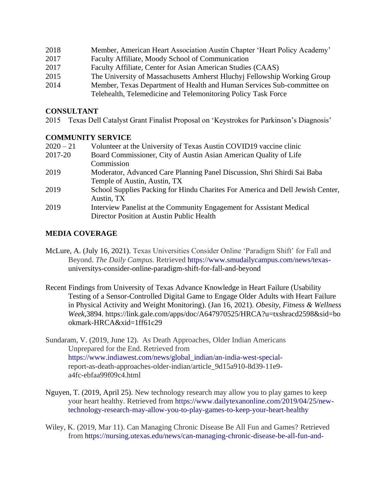- 2018 Member, American Heart Association Austin Chapter 'Heart Policy Academy'
- 2017 Faculty Affiliate, Moody School of Communication
- 2017 Faculty Affiliate, Center for Asian American Studies (CAAS)
- 2015 The University of Massachusetts Amherst Hluchyj Fellowship Working Group
- 2014 Member, Texas Department of Health and Human Services Sub-committee on Telehealth, Telemedicine and Telemonitoring Policy Task Force

## **CONSULTANT**

2015 Texas Dell Catalyst Grant Finalist Proposal on 'Keystrokes for Parkinson's Diagnosis'

# **COMMUNITY SERVICE**

| $2020 - 21$ | Volunteer at the University of Texas Austin COVID19 vaccine clinic             |
|-------------|--------------------------------------------------------------------------------|
| 2017-20     | Board Commissioner, City of Austin Asian American Quality of Life              |
|             | Commission                                                                     |
| 2019        | Moderator, Advanced Care Planning Panel Discussion, Shri Shirdi Sai Baba       |
|             | Temple of Austin, Austin, TX                                                   |
| 2019        | School Supplies Packing for Hindu Charites For America and Dell Jewish Center, |
|             | Austin, TX                                                                     |
| 2019        | Interview Panelist at the Community Engagement for Assistant Medical           |
|             | Director Position at Austin Public Health                                      |
|             |                                                                                |

# **MEDIA COVERAGE**

- McLure, A. (July 16, 2021). Texas Universities Consider Online 'Paradigm Shift' for Fall and Beyond. *The Daily Campus.* Retrieved [https://www.smudailycampus.com/news/texas](https://www.smudailycampus.com/news/texas-)universitys-consider-online-paradigm-shift-for-fall-and-beyond
- Recent Findings from University of Texas Advance Knowledge in Heart Failure (Usability Testing of a Sensor-Controlled Digital Game to Engage Older Adults with Heart Failure in Physical Activity and Weight Monitoring). (Jan 16, 2021). *Obesity, Fitness & Wellness Week*,3894. [https://link.gale.com/apps/doc/A647970525/HRCA?u=txshracd2598&sid=bo](https://link.gale.com/apps/doc/A647970525/HRCA?u=txshracd2598&sid=bookma) [okmar](https://link.gale.com/apps/doc/A647970525/HRCA?u=txshracd2598&sid=bookma)k-HRCA&xid=1ff61c29
- Sundaram, V. (2019, June 12). As Death Approaches, Older Indian Americans Unprepared for the End. Retrieved from [https://www.indiawest.com/news/global\\_indian/an-india-west-special](https://www.indiawest.com/news/global_indian/an-india-west-special-)report-as-death-approaches-older-indian/article\_9d15a910-8d39-11e9 a4fc-ebfaa99f09c4.html
- Nguyen, T. (2019, April 25). New technology research may allow you to play games to keep your heart healthy. Retrieved from [https://www.dailytexanonline.com/2019/04/25/new](https://www.dailytexanonline.com/2019/04/25/new-technology-research-may-allow-you-to-play-games-to-keep-your-heart-healthy)[technology-research-may-allow-you-to-play-games-to-keep-your-heart-healthy](https://www.dailytexanonline.com/2019/04/25/new-technology-research-may-allow-you-to-play-games-to-keep-your-heart-healthy)
- Wiley, K. (2019, Mar 11). Can Managing Chronic Disease Be All Fun and Games? Retrieved from [https://nursing.utexas.edu/news/can-managing-chronic-disease-be-all-fun-and-](https://nursing.utexas.edu/news/can-managing-chronic-disease-be-all-fun-and-games-researcher-thinks-digital-games-may-improve)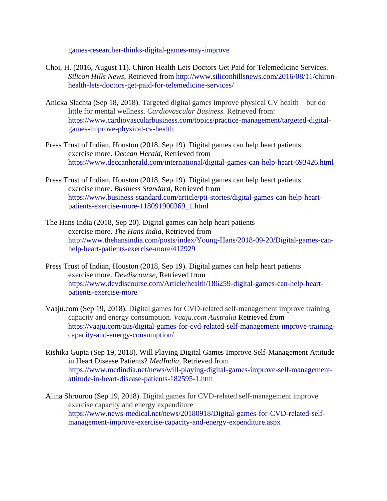[games-researcher-thinks-digital-games-may-improve](https://nursing.utexas.edu/news/can-managing-chronic-disease-be-all-fun-and-games-researcher-thinks-digital-games-may-improve)

- Choi, H. (2016, August 11). Chiron Health Lets Doctors Get Paid for Telemedicine Services. *Silicon Hills News,* Retrieved from [http://www.siliconhillsnews.com/2016/08/11/chiron](http://www.siliconhillsnews.com/2016/08/11/chiron-health-lets-doctors-get-paid-for-telemedicine-services/)[health-lets-doctors-get-paid-for-telemedicine-services/](http://www.siliconhillsnews.com/2016/08/11/chiron-health-lets-doctors-get-paid-for-telemedicine-services/)
- Anicka Slachta (Sep 18, 2018). Targeted digital games improve physical CV health—but do little for mental wellness. *Cardiovascular Business.* Retrieved from: [https://www.cardiovascularbusiness.com/topics/practice-management/targeted-digital](https://www.cardiovascularbusiness.com/topics/practice-management/targeted-digital-games-improve-physical-cv-health)[games-improve-physical-cv-health](https://www.cardiovascularbusiness.com/topics/practice-management/targeted-digital-games-improve-physical-cv-health)
- Press Trust of Indian, Houston (2018, Sep 19). Digital games can help heart patients exercise more. *Deccan Herald,* Retrieved from <https://www.deccanherald.com/international/digital-games-can-help-heart-693426.html>
- Press Trust of Indian, Houston (2018, Sep 19). Digital games can help heart patients exercise more. *Business Standard,* Retrieved from [https://www.business-standard.com/article/pti-stories/digital-games-can-help-heart](https://www.business-standard.com/article/pti-stories/digital-games-can-help-heart-patients-exercise-more-118091900369_1.html)[patients-exercise-more-118091900369\\_1.html](https://www.business-standard.com/article/pti-stories/digital-games-can-help-heart-patients-exercise-more-118091900369_1.html)
- The Hans India (2018, Sep 20). Digital games can help heart patients exercise more. *The Hans India,* Retrieved from [http://www.thehansindia.com/posts/index/Young-Hans/2018-09-20/Digital-games-can](http://www.thehansindia.com/posts/index/Young-Hans/2018-09-20/Digital-games-can-help-heart-patients-exercise-more/412929)[help-heart-patients-exercise-more/412929](http://www.thehansindia.com/posts/index/Young-Hans/2018-09-20/Digital-games-can-help-heart-patients-exercise-more/412929)
- Press Trust of Indian, Houston (2018, Sep 19). Digital games can help heart patients exercise more. *Devdiscourse,* Retrieved from [https://www.devdiscourse.com/Article/health/186259-digital-games-can-help-heart](https://www.devdiscourse.com/Article/health/186259-digital-games-can-help-heart-patients-exercise-more)[patients-exercise-more](https://www.devdiscourse.com/Article/health/186259-digital-games-can-help-heart-patients-exercise-more)
- Vaaju.com (Sep 19, 2018). Digital games for CVD-related self-management improve training capacity and energy consumption. *Vaaju.com Australia* Retrieved from [https://vaaju.com/aus/digital-games-for-cvd-related-self-management-improve-training](https://vaaju.com/aus/digital-games-for-cvd-related-self-management-improve-training-capacity-and-energy-consumption/)[capacity-and-energy-consumption/](https://vaaju.com/aus/digital-games-for-cvd-related-self-management-improve-training-capacity-and-energy-consumption/)
- Rishika Gupta (Sep 19, 2018). Will Playing Digital Games Improve Self-Management Attitude in Heart Disease Patients? *MedIndia,* Retrieved from [https://www.medindia.net/news/will-playing-digital-games-improve-self-management](https://www.medindia.net/news/will-playing-digital-games-improve-self-management-attitude-in-heart-disease-patients-182595-1.htm)[attitude-in-heart-disease-patients-182595-1.htm](https://www.medindia.net/news/will-playing-digital-games-improve-self-management-attitude-in-heart-disease-patients-182595-1.htm)
- Alina Shrourou (Sep 19, 2018). Digital games for CVD-related self-management improve exercise capacity and energy expenditure [https://www.news-medical.net/news/20180918/Digital-games-for-CVD-related-self](https://www.news-medical.net/news/20180918/Digital-games-for-CVD-related-self-management-improve-exercise-capacity-and-energy-expenditure.aspx)[management-improve-exercise-capacity-and-energy-expenditure.aspx](https://www.news-medical.net/news/20180918/Digital-games-for-CVD-related-self-management-improve-exercise-capacity-and-energy-expenditure.aspx)